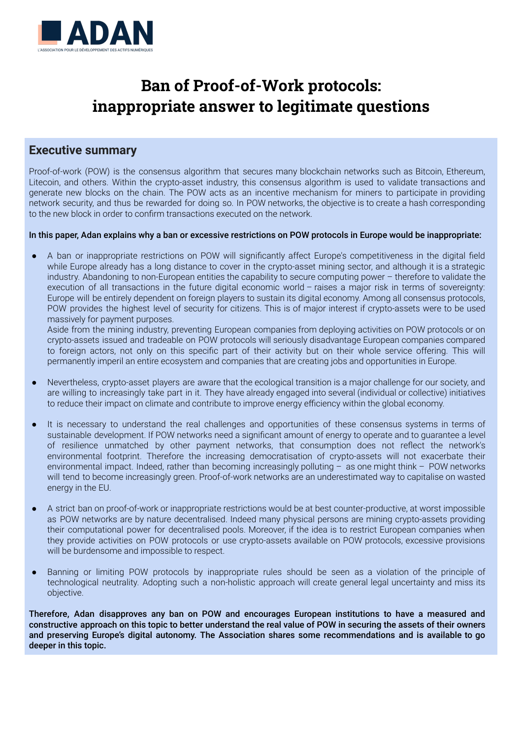

# **Ban of Proof-of-Work protocols: inappropriate answer to legitimate questions**

#### **Executive summary**

Proof-of-work (POW) is the consensus algorithm that secures many blockchain networks such as Bitcoin, Ethereum, Litecoin, and others. Within the crypto-asset industry, this consensus algorithm is used to validate transactions and generate new blocks on the chain. The POW acts as an incentive mechanism for miners to participate in providing network security, and thus be rewarded for doing so. In POW networks, the objective is to create a hash corresponding to the new block in order to confirm transactions executed on the network.

#### In this paper, Adan explains why a ban or excessive restrictions on POW protocols in Europe would be inappropriate:

A ban or inappropriate restrictions on POW will significantly affect Europe's competitiveness in the digital field while Europe already has a long distance to cover in the crypto-asset mining sector, and although it is a strategic industry. Abandoning to non-European entities the capability to secure computing power – therefore to validate the execution of all transactions in the future digital economic world – raises a major risk in terms of sovereignty: Europe will be entirely dependent on foreign players to sustain its digital economy. Among all consensus protocols, POW provides the highest level of security for citizens. This is of major interest if crypto-assets were to be used massively for payment purposes.

Aside from the mining industry, preventing European companies from deploying activities on POW protocols or on crypto-assets issued and tradeable on POW protocols will seriously disadvantage European companies compared to foreign actors, not only on this specific part of their activity but on their whole service offering. This will permanently imperil an entire ecosystem and companies that are creating jobs and opportunities in Europe.

- Nevertheless, crypto-asset players are aware that the ecological transition is a major challenge for our society, and are willing to increasingly take part in it. They have already engaged into several (individual or collective) initiatives to reduce their impact on climate and contribute to improve energy efficiency within the global economy.
- It is necessary to understand the real challenges and opportunities of these consensus systems in terms of sustainable development. If POW networks need a significant amount of energy to operate and to guarantee a level of resilience unmatched by other payment networks, that consumption does not reflect the network's environmental footprint. Therefore the increasing democratisation of crypto-assets will not exacerbate their environmental impact. Indeed, rather than becoming increasingly polluting – as one might think – POW networks will tend to become increasingly green. Proof-of-work networks are an underestimated way to capitalise on wasted energy in the EU.
- A strict ban on proof-of-work or inappropriate restrictions would be at best counter-productive, at worst impossible as POW networks are by nature decentralised. Indeed many physical persons are mining crypto-assets providing their computational power for decentralised pools. Moreover, if the idea is to restrict European companies when they provide activities on POW protocols or use crypto-assets available on POW protocols, excessive provisions will be burdensome and impossible to respect.
- Banning or limiting POW protocols by inappropriate rules should be seen as a violation of the principle of technological neutrality. Adopting such a non-holistic approach will create general legal uncertainty and miss its objective.

Therefore, Adan disapproves any ban on POW and encourages European institutions to have a measured and constructive approach on this topic to better understand the real value of POW in securing the assets of their owners and preserving Europe's digital autonomy. The Association shares some recommendations and is available to go deeper in this topic.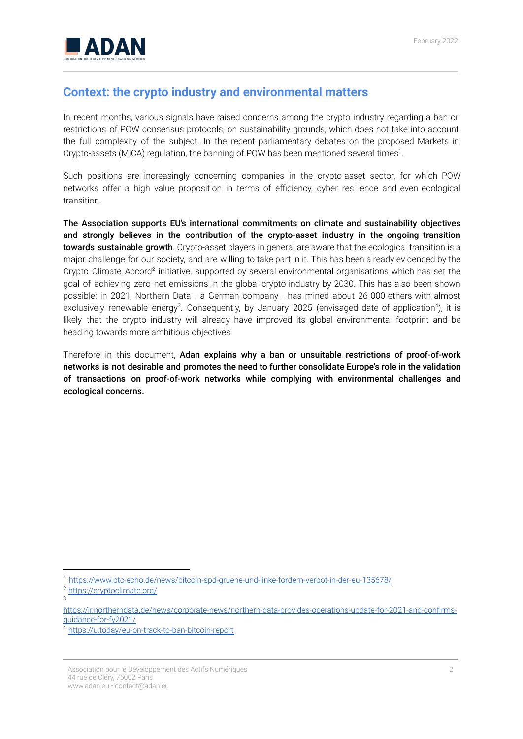

### **Context: the crypto industry and environmental matters**

In recent months, various signals have raised concerns among the crypto industry regarding a ban or restrictions of POW consensus protocols, on sustainability grounds, which does not take into account the full complexity of the subject. In the recent parliamentary debates on the proposed Markets in Crypto-assets (MiCA) regulation, the banning of POW has been mentioned several times<sup>1</sup>.

Such positions are increasingly concerning companies in the crypto-asset sector, for which POW networks offer a high value proposition in terms of efficiency, cyber resilience and even ecological transition.

The Association supports EU's international commitments on climate and sustainability objectives and strongly believes in the contribution of the crypto-asset industry in the ongoing transition towards sustainable growth. Crypto-asset players in general are aware that the ecological transition is a major challenge for our society, and are willing to take part in it. This has been already evidenced by the Crypto Climate Accord<sup>2</sup> initiative, supported by several environmental organisations which has set the goal of achieving zero net emissions in the global crypto industry by 2030. This has also been shown possible: in 2021, Northern Data - a German company - has mined about 26 000 ethers with almost exclusively renewable energy<sup>3</sup>. Consequently, by January 2025 (envisaged date of application<sup>4</sup>), it is likely that the crypto industry will already have improved its global environmental footprint and be heading towards more ambitious objectives.

Therefore in this document, Adan explains why a ban or unsuitable restrictions of proof-of-work networks is not desirable and promotes the need to further consolidate Europe's role in the validation of transactions on proof-of-work networks while complying with environmental challenges and ecological concerns.

<sup>1</sup> <https://www.btc-echo.de/news/bitcoin-spd-gruene-und-linke-fordern-verbot-in-der-eu-135678/>

 $\overline{3}$ <sup>2</sup> <https://cryptoclimate.org/>

[https://ir.northerndata.de/news/corporate-news/northern-data-provides-operations-update-for-2021-and-confirms](https://ir.northerndata.de/news/corporate-news/northern-data-provides-operations-update-for-2021-and-confirms-guidance-for-fy2021/)[guidance-for-fy2021/](https://ir.northerndata.de/news/corporate-news/northern-data-provides-operations-update-for-2021-and-confirms-guidance-for-fy2021/)

<sup>4</sup> <https://u.today/eu-on-track-to-ban-bitcoin-report>

Association pour le Développement des Actifs Numériques 44 rue de Cléry, 75002 Paris www.adan.eu • contact@adan.eu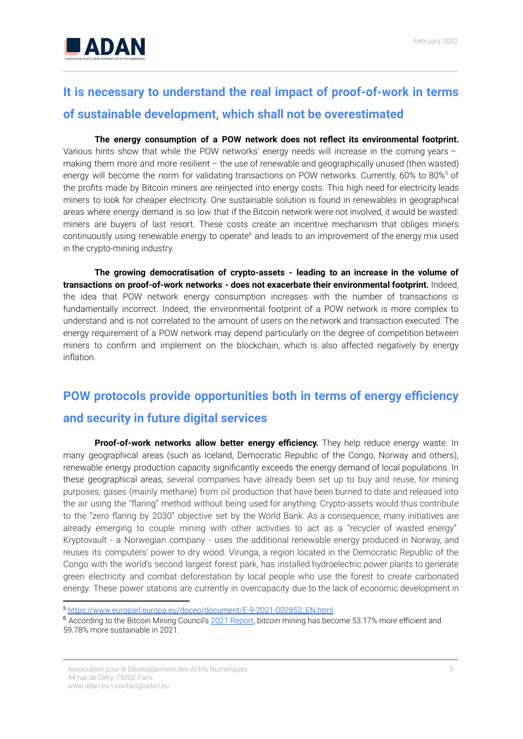

## **It is necessary to understand the real impact of proof-of-work in terms of sustainable development, which shall not be overestimated**

**The energy consumption of a POW network does not reflect its environmental footprint.** Various hints show that while the POW networks' energy needs will increase in the coming years – making them more and more resilient – the use of renewable and geographically unused (then wasted) energy will become the norm for validating transactions on POW networks. Currently, 60% to 80%<sup>5</sup> of the profits made by Bitcoin miners are reinjected into energy costs. This high need for electricity leads miners to look for cheaper electricity. One sustainable solution is found in renewables in geographical areas where energy demand is so low that if the Bitcoin network were not involved, it would be wasted: miners are buyers of last resort. These costs create an incentive mechanism that obliges miners continuously using renewable energy to operate<sup>6</sup> and leads to an improvement of the energy mix used in the crypto-mining industry.

**The growing democratisation of crypto-assets - leading to an increase in the volume of transactions on proof-of-work networks - does not exacerbate their environmental footprint.** Indeed, the idea that POW network energy consumption increases with the number of transactions is fundamentally incorrect. Indeed, the environmental footprint of a POW network is more complex to understand and is not correlated to the amount of users on the network and transaction executed. The energy requirement of a POW network may depend particularly on the degree of competition between miners to confirm and implement on the blockchain, which is also affected negatively by energy inflation.

### **POW protocols provide opportunities both in terms of energy efficiency and security in future digital services**

**Proof-of-work networks allow better energy efficiency.** They help reduce energy waste. In many geographical areas (such as Iceland, Democratic Republic of the Congo, Norway and others), renewable energy production capacity significantly exceeds the energy demand of local populations. In these geographical areas, several companies have already been set up to buy and reuse, for mining purposes, gases (mainly methane) from oil production that have been burned to date and released into the air using the "flaring" method without being used for anything. Crypto-assets would thus contribute to the "zero flaring by 2030" objective set by the World Bank. As a consequence, many initiatives are already emerging to couple mining with other activities to act as a "recycler of wasted energy". Kryptovault - a Norwegian company - uses the additional renewable energy produced in Norway, and reuses its computers' power to dry wood. Virunga, a region located in the Democratic Republic of the Congo with the world's second largest forest park, has installed hydroelectric power plants to generate green electricity and combat deforestation by local people who use the forest to create carbonated energy. These power stations are currently in overcapacity due to the lack of economic development in

<sup>5</sup> [https://www.europarl.europa.eu/doceo/document/E-9-2021-002852\\_EN.html](https://www.europarl.europa.eu/doceo/document/E-9-2021-002852_EN.html)

<sup>6</sup> According to the Bitcoin Mining Council's [2021 Report](https://bitcoinminingcouncil.com/wp-content/uploads/2022/01/2022.01.18-BMC-Q4-2021.pdf), bitcoin mining has become 53.17% more efficient and 59.78% more sustainable in 2021.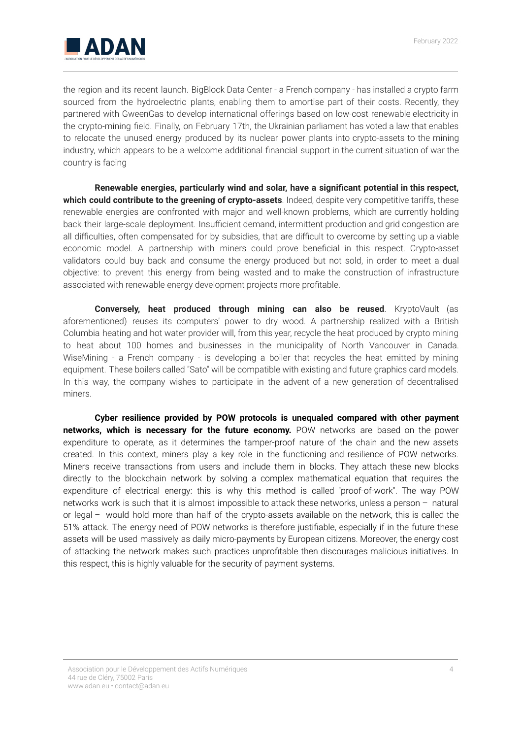

the region and its recent launch. BigBlock Data Center - a French company - has installed a crypto farm sourced from the hydroelectric plants, enabling them to amortise part of their costs. Recently, they partnered with GweenGas to develop international offerings based on low-cost renewable electricity in the crypto-mining field. Finally, on February 17th, the Ukrainian parliament has voted a law that enables to relocate the unused energy produced by its nuclear power plants into crypto-assets to the mining industry, which appears to be a welcome additional financial support in the current situation of war the country is facing

**Renewable energies, particularly wind and solar, have a significant potential in this respect, which could contribute to the greening of crypto-assets**. Indeed, despite very competitive tariffs, these renewable energies are confronted with major and well-known problems, which are currently holding back their large-scale deployment. Insufficient demand, intermittent production and grid congestion are all difficulties, often compensated for by subsidies, that are difficult to overcome by setting up a viable economic model. A partnership with miners could prove beneficial in this respect. Crypto-asset validators could buy back and consume the energy produced but not sold, in order to meet a dual objective: to prevent this energy from being wasted and to make the construction of infrastructure associated with renewable energy development projects more profitable.

**Conversely, heat produced through mining can also be reused**. KryptoVault (as aforementioned) reuses its computers' power to dry wood. A partnership realized with a British Columbia heating and hot water provider will, from this year, recycle the heat produced by crypto mining to heat about 100 homes and businesses in the municipality of North Vancouver in Canada. WiseMining - a French company - is developing a boiler that recycles the heat emitted by mining equipment. These boilers called "Sato" will be compatible with existing and future graphics card models. In this way, the company wishes to participate in the advent of a new generation of decentralised miners.

**Cyber resilience provided by POW protocols is unequaled compared with other payment networks, which is necessary for the future economy.** POW networks are based on the power expenditure to operate, as it determines the tamper-proof nature of the chain and the new assets created. In this context, miners play a key role in the functioning and resilience of POW networks. Miners receive transactions from users and include them in blocks. They attach these new blocks directly to the blockchain network by solving a complex mathematical equation that requires the expenditure of electrical energy: this is why this method is called "proof-of-work". The way POW networks work is such that it is almost impossible to attack these networks, unless a person – natural or legal – would hold more than half of the crypto-assets available on the network, this is called the 51% attack. The energy need of POW networks is therefore justifiable, especially if in the future these assets will be used massively as daily micro-payments by European citizens. Moreover, the energy cost of attacking the network makes such practices unprofitable then discourages malicious initiatives. In this respect, this is highly valuable for the security of payment systems.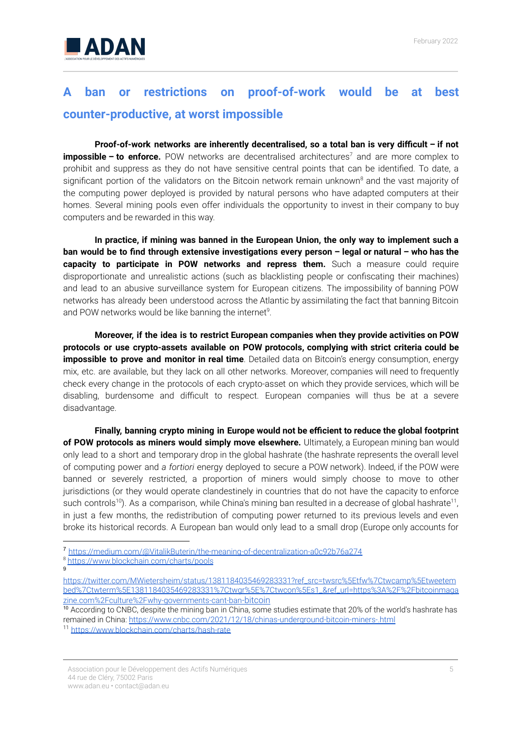

### **A ban or restrictions on proof-of-work would be at best counter-productive, at worst impossible**

**Proof-of-work networks are inherently decentralised, so a total ban is very difficult – if not impossible – to enforce.** POW networks are decentralised architectures <sup>7</sup> and are more complex to prohibit and suppress as they do not have sensitive central points that can be identified. To date, a significant portion of the validators on the Bitcoin network remain unknown <sup>8</sup> and the vast majority of the computing power deployed is provided by natural persons who have adapted computers at their homes. Several mining pools even offer individuals the opportunity to invest in their company to buy computers and be rewarded in this way.

**In practice, if mining was banned in the European Union, the only way to implement such a** ban would be to find through extensive investigations every person - legal or natural - who has the **capacity to participate in POW networks and repress them.** Such a measure could require disproportionate and unrealistic actions (such as blacklisting people or confiscating their machines) and lead to an abusive surveillance system for European citizens. The impossibility of banning POW networks has already been understood across the Atlantic by assimilating the fact that banning Bitcoin and POW networks would be like banning the internet<sup>9</sup>.

**Moreover, if the idea is to restrict European companies when they provide activities on POW protocols or use crypto-assets available on POW protocols, complying with strict criteria could be impossible to prove and monitor in real time**. Detailed data on Bitcoin's energy consumption, energy mix, etc. are available, but they lack on all other networks. Moreover, companies will need to frequently check every change in the protocols of each crypto-asset on which they provide services, which will be disabling, burdensome and difficult to respect. European companies will thus be at a severe disadvantage.

**Finally, banning crypto mining in Europe would not be efficient to reduce the global footprint of POW protocols as miners would simply move elsewhere.** Ultimately, a European mining ban would only lead to a short and temporary drop in the global hashrate (the hashrate represents the overall level of computing power and *a fortiori* energy deployed to secure a POW network). Indeed, if the POW were banned or severely restricted, a proportion of miners would simply choose to move to other jurisdictions (or they would operate clandestinely in countries that do not have the capacity to enforce such controls<sup>10</sup>). As a comparison, while China's mining ban resulted in a decrease of global hashrate<sup>11</sup>, in just a few months, the redistribution of computing power returned to its previous levels and even broke its historical records. A European ban would only lead to a small drop (Europe only accounts for

 $\mathsf{o}$ <sup>8</sup> <https://www.blockchain.com/charts/pools>

Association pour le Développement des Actifs Numériques 44 rue de Cléry, 75002 Paris www.adan.eu • contact@adan.eu

<sup>7</sup> <https://medium.com/@VitalikButerin/the-meaning-of-decentralization-a0c92b76a274>

[https://twitter.com/MWietersheim/status/1381184035469283331?ref\\_src=twsrc%5Etfw%7Ctwcamp%5Etweetem](https://twitter.com/MWietersheim/status/1381184035469283331?ref_src=twsrc%5Etfw%7Ctwcamp%5Etweetembed%7Ctwterm%5E1381184035469283331%7Ctwgr%5E%7Ctwcon%5Es1_&ref_url=https%3A%2F%2Fbitcoinmagazine.com%2Fculture%2Fwhy-governments-cant-ban-bitcoin) [bed%7Ctwterm%5E1381184035469283331%7Ctwgr%5E%7Ctwcon%5Es1\\_&ref\\_url=https%3A%2F%2Fbitcoinmaga](https://twitter.com/MWietersheim/status/1381184035469283331?ref_src=twsrc%5Etfw%7Ctwcamp%5Etweetembed%7Ctwterm%5E1381184035469283331%7Ctwgr%5E%7Ctwcon%5Es1_&ref_url=https%3A%2F%2Fbitcoinmagazine.com%2Fculture%2Fwhy-governments-cant-ban-bitcoin) [zine.com%2Fculture%2Fwhy-governments-cant-ban](https://twitter.com/MWietersheim/status/1381184035469283331?ref_src=twsrc%5Etfw%7Ctwcamp%5Etweetembed%7Ctwterm%5E1381184035469283331%7Ctwgr%5E%7Ctwcon%5Es1_&ref_url=https%3A%2F%2Fbitcoinmagazine.com%2Fculture%2Fwhy-governments-cant-ban-bitcoin)-bitcoin

<sup>&</sup>lt;sup>10</sup> According to CNBC, despite the mining ban in China, some studies estimate that 20% of the world's hashrate has remained in China: <https://www.cnbc.com/2021/12/18/chinas-underground-bitcoin-miners-.html>

<sup>11</sup> <https://www.blockchain.com/charts/hash-rate>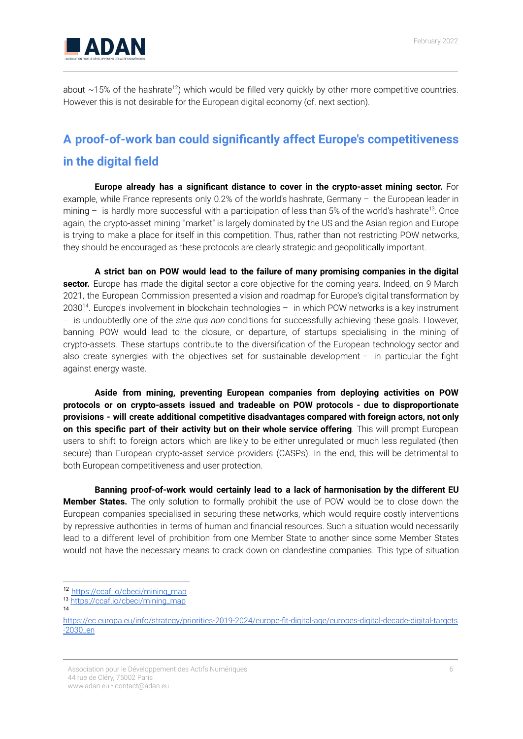

about  $\sim$ 15% of the hashrate<sup>12</sup>) which would be filled very quickly by other more competitive countries. However this is not desirable for the European digital economy (cf. next section).

### **A proof-of-work ban could significantly affect Europe's competitiveness in the digital field**

**Europe already has a significant distance to cover in the crypto-asset mining sector.** For example, while France represents only 0.2% of the world's hashrate, Germany – the European leader in mining - is hardly more successful with a participation of less than 5% of the world's hashrate<sup>13</sup>. Once again, the crypto-asset mining "market" is largely dominated by the US and the Asian region and Europe is trying to make a place for itself in this competition. Thus, rather than not restricting POW networks, they should be encouraged as these protocols are clearly strategic and geopolitically important.

**A strict ban on POW would lead to the failure of many promising companies in the digital sector.** Europe has made the digital sector a core objective for the coming years. Indeed, on 9 March 2021, the European Commission presented a vision and roadmap for Europe's digital transformation by 2030<sup>14</sup>. Europe's involvement in blockchain technologies - in which POW networks is a key instrument – is undoubtedly one of the *sine qua non* conditions for successfully achieving these goals. However, banning POW would lead to the closure, or departure, of startups specialising in the mining of crypto-assets. These startups contribute to the diversification of the European technology sector and also create synergies with the objectives set for sustainable development – in particular the fight against energy waste.

**Aside from mining, preventing European companies from deploying activities on POW protocols or on crypto-assets issued and tradeable on POW protocols - due to disproportionate provisions - will create additional competitive disadvantages compared with foreign actors, not only on this specific part of their activity but on their whole service offering**. This will prompt European users to shift to foreign actors which are likely to be either unregulated or much less regulated (then secure) than European crypto-asset service providers (CASPs). In the end, this will be detrimental to both European competitiveness and user protection.

**Banning proof-of-work would certainly lead to a lack of harmonisation by the different EU Member States.** The only solution to formally prohibit the use of POW would be to close down the European companies specialised in securing these networks, which would require costly interventions by repressive authorities in terms of human and financial resources. Such a situation would necessarily lead to a different level of prohibition from one Member State to another since some Member States would not have the necessary means to crack down on clandestine companies. This type of situation

Association pour le Développement des Actifs Numériques 44 rue de Cléry, 75002 Paris www.adan.eu • contact@adan.eu

<sup>12</sup> [https://ccaf.io/cbeci/mining\\_map](https://ccaf.io/cbeci/mining_map)

<sup>13</sup> [https://ccaf.io/cbeci/mining\\_map](https://ccaf.io/cbeci/mining_map)

<sup>14</sup>

[https://ec.europa.eu/info/strategy/priorities-2019-2024/europe-fit-digital-age/europes-digital-decade-digital-targets](https://ec.europa.eu/info/strategy/priorities-2019-2024/europe-fit-digital-age/europes-digital-decade-digital-targets-2030_fr) [-2030\\_en](https://ec.europa.eu/info/strategy/priorities-2019-2024/europe-fit-digital-age/europes-digital-decade-digital-targets-2030_fr)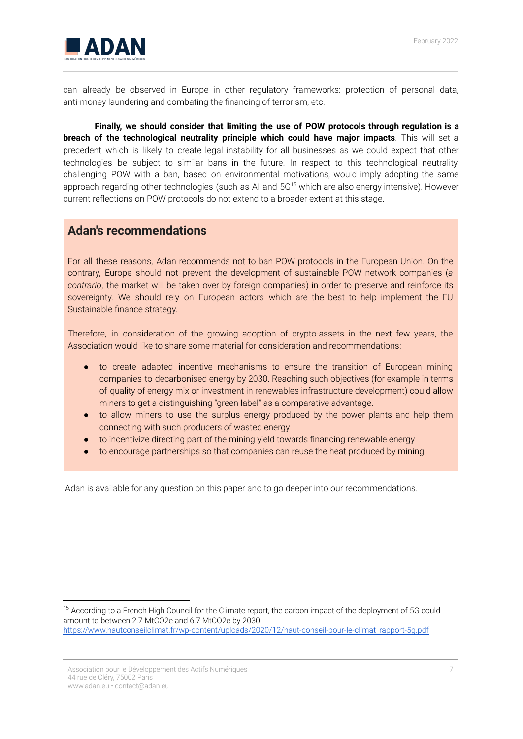

can already be observed in Europe in other regulatory frameworks: protection of personal data, anti-money laundering and combating the financing of terrorism, etc.

**Finally, we should consider that limiting the use of POW protocols through regulation is a breach of the technological neutrality principle which could have major impacts**. This will set a precedent which is likely to create legal instability for all businesses as we could expect that other technologies be subject to similar bans in the future. In respect to this technological neutrality, challenging POW with a ban, based on environmental motivations, would imply adopting the same approach regarding other technologies (such as AI and 5G<sup>15</sup> which are also energy intensive). However current reflections on POW protocols do not extend to a broader extent at this stage.

#### **Adan's recommendations**

For all these reasons, Adan recommends not to ban POW protocols in the European Union. On the contrary, Europe should not prevent the development of sustainable POW network companies (*a contrario*, the market will be taken over by foreign companies) in order to preserve and reinforce its sovereignty. We should rely on European actors which are the best to help implement the EU Sustainable finance strategy.

Therefore, in consideration of the growing adoption of crypto-assets in the next few years, the Association would like to share some material for consideration and recommendations:

- to create adapted incentive mechanisms to ensure the transition of European mining companies to decarbonised energy by 2030. Reaching such objectives (for example in terms of quality of energy mix or investment in renewables infrastructure development) could allow miners to get a distinguishing "green label" as a comparative advantage.
- to allow miners to use the surplus energy produced by the power plants and help them connecting with such producers of wasted energy
- to incentivize directing part of the mining yield towards financing renewable energy
- to encourage partnerships so that companies can reuse the heat produced by mining

Adan is available for any question on this paper and to go deeper into our recommendations.

<sup>&</sup>lt;sup>15</sup> According to a French High Council for the Climate report, the carbon impact of the deployment of 5G could amount to between 2.7 MtCO2e and 6.7 MtCO2e by 2030: [https://www.hautconseilclimat.fr/wp-content/uploads/2020/12/haut-conseil-pour-le-climat\\_rapport-5g.pdf](https://www.hautconseilclimat.fr/wp-content/uploads/2020/12/haut-conseil-pour-le-climat_rapport-5g.pdf)